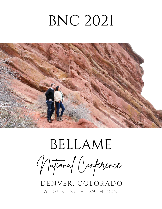## BNC 2021



# BELLAME

National Conference

DENVER, COLORADO AUGUST 27TH -29TH, 2021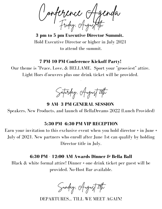Conference Agenda Friday, August 2th

**3 pm to 5 pm Executive Director Summit.** Hold Executive Director or higher in July 2021 to attend the summit.

#### **7 PM-10 PM Conference Kickoff Party!**

Our theme is "Peace, Love, & BELLAME. Sport your "grooviest" attire. Light Hors d'oeuvres plus one drink ticket will be provided.

.



**9 AM- 3 PM GENERAL SESSION**

Speakers, New Products, and launch of BellaDreams 2022 (Lunch Provided)

#### **5:30 PM- 6:30 PM VIP RECEPTION**

Earn your invitation to this exclusive event when you hold director + in June + July of 2021. New partners who enroll after June 1st can qualify by holding Director title in July.

#### **6:30 PM - 12:00 AM Awards Dinner & Bella Ball**

Black & white formal attire! Dinner + one drink ticket per guest will be provided. No-Host Bar available.

Sunday, August 29th

DEPARTURES... TILL WE MEET AGAIN!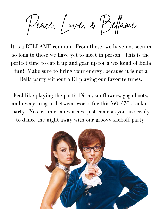Peace, Love, & Belame

It is a BELLAME reunion. From those, we have not seen in so long to those we have yet to meet in person. This is the perfect time to catch up and gear up for a weekend of Bella fun! Make sure to bring your energy, because it is not a Bella party without a DJ playing our favorite tunes.

Feel like playing the part? Disco, sunflowers, gogo boots, and everything in between works for this '60s-'70s kickoff party. No costume, no worries, just come as you are ready to dance the night away with our groovy kickoff party!

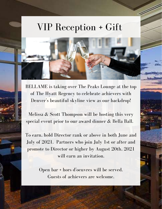## VIP Reception + Gift

V)

BELLAME is taking over The Peaks Lounge at the top of The Hyatt Regency to celebrate achievers with Denver 's beautiful skyline view as our backdrop!

Melissa & Scott Thompson will be hosting this very special event prior to our award dinner & Bella Ball.

To earn, hold Director rank or above in both June and July of 2021. Partners who join July 1st or after and promote to Director or higher by August 20th, 2021 will earn an invitation.

> Open bar + hors d' oeuvres will be served. Guests of achievers are welcome.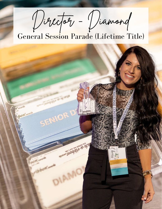Director - Diamond

### General Session Parade (Lifetime Title)

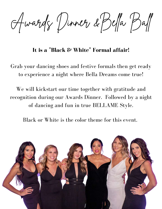Awards Dinner &Bela Bal

**It is a "Black & White " Formal affair!**

Grab your dancing shoes and festive formals then get ready to experience a night where Bella Dreams come true!

We will kickstart our time together with gratitude and recognition during our Awards Dinner. Followed by a night of dancing and fun in true BELLAME Style.

Black or White is the color theme for this event.

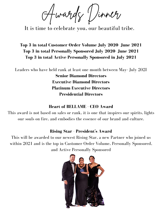Awards Dinner

It is time to celebrate you, our beautiful tribe.

#### **Top 3 in total Customer Order Volume July 2020- June 2021 Top 3 in total Personally Sponsored July 2020- June 2021 Top 3 in total Active Personally Sponsored in July 2021**

Leaders who have held rank at least one month between May- July 202I

**Senior Diamond Directors Executive Diamond Directors Platinum Executive Directors Presidential Directors**

#### **Heart of BELLAME - CEO Award**

This award is not based on sales or rank, it is one that inspires our spirits, lights our souls on fire, and embodies the essence of our brand and culture.

#### **Rising Star - President' s Award**

This will be awarded to our newest Rising Star, a new Partner who joined us within 2021 and is the top in Customer Order Volume, Personally Sponsored, and Active Personally Sponsored

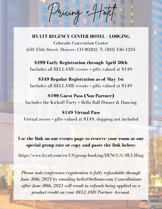#### **HYATT REGENCY CENTER HOTEL + LODGING**

Pricing + Hotel

Colorado Convention Center 650 15th Street, Denver, CO 80202. T: (303) 436-1234

#### **\$299 Early Registration through April 30th**

Includes all BELLAME events + gifts valued at \$149

#### **\$349 Regular Registration as of May 1st**

Includes all BELLAME events + gifts valued at \$149

#### **\$199 Guest Pass (Non-Partner)**

Includes the Kickoff Party + Bella Ball Dinner & Dancing

#### **\$149 Virtual Pass**

Virtual access + gifts valued at \$149, shipping not included

#### **Use the link on our events page to reserve your room at our special group rate or copy and paste the link below:**

https://www.hyatt.com/en-US/group-booking/DENCC/G-BLLMing

*Please note conference registration is fully refundable through June 30th, 2021 by emailing hello@bellame.com. Cancellations after June 30th, 2021 will result in refunds being applied as a product credit on your BELLAME Partner Account.*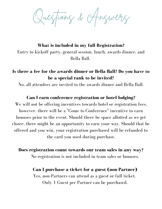Questions & Answers

**What is included in my full Registration?** Entry to kickoff party, general session, lunch, awards dinner, and Bella Ball.

#### **Is there a fee for the awards dinner or Bella Ball? Do you have to be a special rank to be invited?**

No, all attendees are invited to the awards dinner and Bella Ball.

#### **Can I earn conference registration or hotel lodging?**

We will not be offering incentives towards hotel or registration fees, however, there will be a "Come to Conference" incentive to earn bonuses prior to the event. Should there be space allotted as we get closer, there might be an opportunity to earn your way. Should that be offered and you win, your registration purchased will be refunded to the card you used during purchase.

**Does registration count towards our team sales in any way?**

No registration is not included in team sales or bonuses.

#### **Can I purchase a ticket for a guest (non-Partner)**

Yes, non-Partners can attend as a guest or full ticket. Only 1 Guest per Partner can be purchased.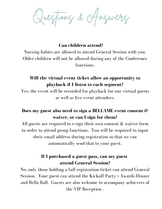Questions & Answers

**Can children attend?**

Nursing babies are allowed to attend General Session with you. Older children will not be allowed during any of the Conference functions.

#### **Will the virtual event ticket allow an opportunity to playback if I listen to each segment?**

Yes, the event will be recorded for playback for our virtual guests as well as live event attendees.

#### **Does my guest also need to sign a BELLAME event consent & waiver, or can I sign for them?**

All guests are required to e-sign their own consent  $\&$  waiver form in order to attend group functions. You will be required to input their email address during registration so that we can automatically send that to your guest.

#### **If I purchased a guest pass, can my guest attend General Session?**

No, only those holding a full registration ticket can attend General Session. Your guest can attend the Kickoff Party + Awards Dinner and Bella Ball. Guests are also welcome to accompany achievers of the VIP Reception .